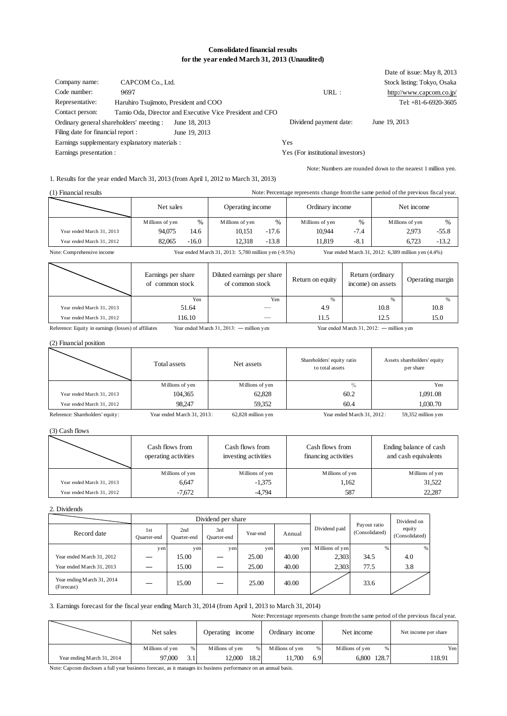#### **Consolidated financial results for the year ended March 31, 2013 (Unaudited)**

| Company name:<br>Code number:<br>Representative:<br>Contact person: | CAPCOM Co., Ltd.<br>9697<br>Haruhiro Tsujimoto, President and COO | Tamio Oda, Director and Executive Vice President and CFO | URL:                              | Date of issue: May 8, 2013<br>Stock listing: Tokyo, Osaka<br>http://www.capcom.co.jp/<br>Tel: $+81-6-6920-3605$ |
|---------------------------------------------------------------------|-------------------------------------------------------------------|----------------------------------------------------------|-----------------------------------|-----------------------------------------------------------------------------------------------------------------|
| Ordinary general shareholders' meeting :                            |                                                                   | June 18, 2013                                            | Dividend payment date:            | June 19, 2013                                                                                                   |
| Filing date for financial report :                                  |                                                                   | June 19, 2013                                            |                                   |                                                                                                                 |
|                                                                     | Earnings supplementary explanatory materials :                    |                                                          | Yes                               |                                                                                                                 |
| Earnings presentation :                                             |                                                                   |                                                          | Yes (For institutional investors) |                                                                                                                 |

Note: Numbers are rounded down to the nearest 1 million yen.

1. Results for the year ended March 31, 2013 (from April 1, 2012 to March 31, 2013)

| (1) Financial results     | Note: Percentage represents change from the same period of the previous fiscal year. |         |                  |               |                 |        |                 |               |
|---------------------------|--------------------------------------------------------------------------------------|---------|------------------|---------------|-----------------|--------|-----------------|---------------|
|                           | Net sales                                                                            |         | Operating income |               | Ordinary income |        | Net income      |               |
|                           | Millions of yen                                                                      | $\%$    | Millions of yen  | $\frac{0}{0}$ | Millions of yen | $\%$   | Millions of yen | $\frac{0}{0}$ |
| Year ended March 31, 2013 | 94,075                                                                               | 14.6    | 10.151           | $-17.6$       | 10.944          | $-7.4$ | 2.973           | $-55.8$       |
| Year ended March 31, 2012 | 82,065                                                                               | $-16.0$ | 12.318           | $-13.8$       | 11.819          | $-8.1$ | 6.723           | $-13.2$       |
|                           |                                                                                      |         |                  |               |                 |        |                 |               |

Note: Comprehensive income Year ended March 31, 2013: 5,780 million yen (-9.5%) Year ended March 31, 2012: 6,389 million yen (4.4%)

|                           | Earnings per share<br>of common stock | Diluted earnings per share<br>of common stock | Return on equity | Return (ordinary<br>income) on assets | Operating margin |
|---------------------------|---------------------------------------|-----------------------------------------------|------------------|---------------------------------------|------------------|
|                           | Yen                                   | Yen                                           | $\%$             | $\frac{9}{6}$                         |                  |
| Year ended March 31, 2013 | 51.64                                 |                                               | 4.9              | 10.8                                  | 10.8             |
| Year ended March 31, 2012 | 116.10                                |                                               | 11.5             | 12.5                                  | 15.0             |

Reference: Equity in earnings (losses) of affiliates Year ended March 31, 2013: ― million yen Year ended March 31, 2012: ― million yen

Note: Percentage represents change from the same period of the previous fiscal year.

#### (2) Financial position

|                           | Total assets    | Net assets      | Shareholders' equity ratio<br>to total assets | Assets shareholders' equity<br>per share |
|---------------------------|-----------------|-----------------|-----------------------------------------------|------------------------------------------|
|                           | Millions of yen | Millions of yen | $\%$                                          | Yen                                      |
| Year ended March 31, 2013 | 104,365         | 62,828          | 60.2                                          | 1,091.08                                 |
| Year ended March 31, 2012 | 98,247          | 59.352          | 60.4                                          | 1.030.70                                 |

Reference: Shareholders' equity: Year ended March 31, 2013: 62,828 million yen Year ended March 31, 2012: 59,352 million yen

#### (3) Cash flows

| Cash flows from<br>operating activities |                 | Cash flows from<br>investing activities | Cash flows from<br>financing activities | Ending balance of cash<br>and cash equivalents |
|-----------------------------------------|-----------------|-----------------------------------------|-----------------------------------------|------------------------------------------------|
|                                         | Millions of yen | Millions of yen                         | Millions of yen                         | Millions of yen                                |
| Year ended March 31, 2013               | 6.647           | $-1.375$                                | 1.162                                   | 31,522                                         |
| Year ended March 31, 2012               | -7,672          | $-4,794$                                | 587                                     | 22,287                                         |

#### 2. Dividends

|                                          | Dividend per share |                    |                    |          |        |                 |                                | Dividend on              |
|------------------------------------------|--------------------|--------------------|--------------------|----------|--------|-----------------|--------------------------------|--------------------------|
| Record date                              | 1st<br>Ouarter-end | 2nd<br>Ouarter-end | 3rd<br>Quarter-end | Year-end | Annual | Dividend paid   | Payout ratio<br>(Consolidated) | equity<br>(Consolidated) |
|                                          | yen                | yen                | yen                | yen      | yen    | Millions of yen | $\frac{9}{6}$                  | %                        |
| Year ended March 31, 2012                |                    | 15.00              |                    | 25.00    | 40.00  | 2,303           | 34.5                           | 4.0                      |
| Year ended M arch 31, 2013               |                    | 15.00              |                    | 25.00    | 40.00  | 2,303           | 77.5                           | 3.8                      |
| Year ending March 31, 2014<br>(Forecast) |                    | 15.00              |                    | 25.00    | 40.00  |                 | 33.6                           |                          |

#### 3. Earnings forecast for the fiscal year ending March 31, 2014 (from April 1, 2013 to March 31, 2014)

|                             | TWE. I CICCINAGE ICPICSCINS CHANGE HOM THE SAME PCHOU OF THE PICYROUS IISCAL YOU. |     |                  |      |                 |     |                 |   |                      |
|-----------------------------|-----------------------------------------------------------------------------------|-----|------------------|------|-----------------|-----|-----------------|---|----------------------|
|                             | Net sales                                                                         |     | Operating income |      | Ordinary income |     | Net income      |   | Net income per share |
|                             | Millions of yen                                                                   | %   | Millions of ven  | %    | Millions of ven | %   | Millions of yen | % | Yen                  |
| Year ending M arch 31, 2014 | 97.000                                                                            | 3.1 | 12.000           | 18.2 | 1.700           | 6.9 | 6.800 128.7     |   | 118.91               |

Note: Capcom discloses a full year business forecast, as it manages its business performance on an annual basis.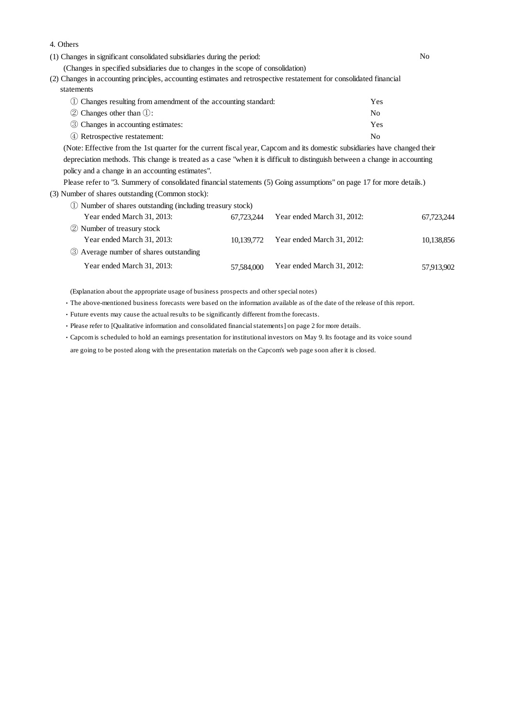(1) Changes in significant consolidated subsidiaries during the period: No (Changes in specified subsidiaries due to changes in the scope of consolidation) ① Changes resulting from amendment of the accounting standard: Yes (2) Changes in accounting principles, accounting estimates and retrospective restatement for consolidated financial statements

| (1) Changes resulting from amendment of the accounting standard. | 1 C.N. |
|------------------------------------------------------------------|--------|
| $(2)$ Changes other than $(1)$ :                                 | Nο     |
| 3 Changes in accounting estimates:                               | Yes    |
| 4 Retrospective restatement:                                     | Nο     |

(Note: Effective from the 1st quarter for the current fiscal year, Capcom and its domestic subsidiaries have changed their depreciation methods. This change is treated as a case "when it is difficult to distinguish between a change in accounting policy and a change in an accounting estimates".

Please refer to "3. Summery of consolidated financial statements (5) Going assumptions" on page 17 for more details.) (3) Number of shares outstanding (Common stock):

① Number of shares outstanding (including treasury stock)

4. Others

| Year ended March 31, 2013:               | 67.723.244 | Year ended March 31, 2012: | 67,723,244 |
|------------------------------------------|------------|----------------------------|------------|
| 2 Number of treasury stock               |            |                            |            |
| Year ended March 31, 2013:               | 10.139.772 | Year ended March 31, 2012: | 10,138,856 |
| (3) Average number of shares outstanding |            |                            |            |
| Year ended March 31, 2013:               | 57,584,000 | Year ended March 31, 2012: | 57,913,902 |

(Explanation about the appropriate usage of business prospects and other special notes)

・The above-mentioned business forecasts were based on the information available as of the date of the release of this report.

・Future events may cause the actual results to be significantly different from the forecasts.

・Please refer to [Qualitative information and consolidated financial statements] on page 2 for more details.

・Capcom is scheduled to hold an earnings presentation for institutional investors on May 9. Its footage and its voice sound

are going to be posted along with the presentation materials on the Capcom's web page soon after it is closed.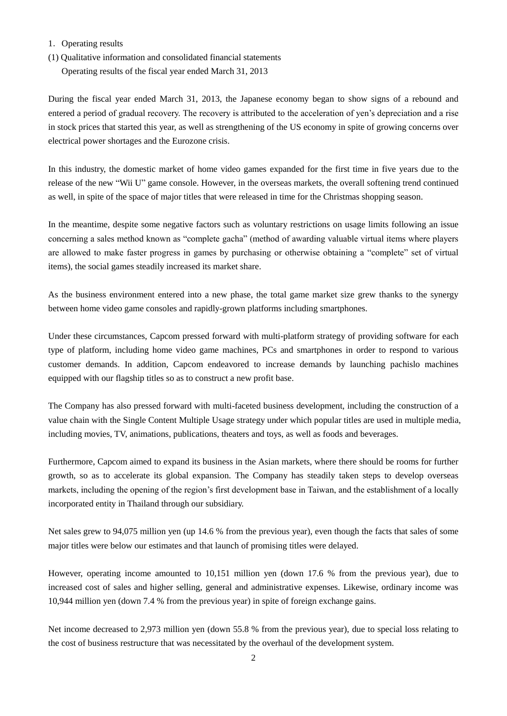- 1.Operating results
- (1) Qualitative information and consolidated financial statements

Operating results of the fiscal year ended March 31, 2013

During the fiscal year ended March 31, 2013, the Japanese economy began to show signs of a rebound and entered a period of gradual recovery. The recovery is attributed to the acceleration of yen"s depreciation and a rise in stock prices that started this year, as well as strengthening of the US economy in spite of growing concerns over electrical power shortages and the Eurozone crisis.

In this industry, the domestic market of home video games expanded for the first time in five years due to the release of the new "Wii U" game console. However, in the overseas markets, the overall softening trend continued as well, in spite of the space of major titles that were released in time for the Christmas shopping season.

In the meantime, despite some negative factors such as voluntary restrictions on usage limits following an issue concerning a sales method known as "complete gacha" (method of awarding valuable virtual items where players are allowed to make faster progress in games by purchasing or otherwise obtaining a "complete" set of virtual items), the social games steadily increased its market share.

As the business environment entered into a new phase, the total game market size grew thanks to the synergy between home video game consoles and rapidly-grown platforms including smartphones.

Under these circumstances, Capcom pressed forward with multi-platform strategy of providing software for each type of platform, including home video game machines, PCs and smartphones in order to respond to various customer demands. In addition, Capcom endeavored to increase demands by launching pachislo machines equipped with our flagship titles so as to construct a new profit base.

The Company has also pressed forward with multi-faceted business development, including the construction of a value chain with the Single Content Multiple Usage strategy under which popular titles are used in multiple media, including movies, TV, animations, publications, theaters and toys, as well as foods and beverages.

Furthermore, Capcom aimed to expand its business in the Asian markets, where there should be rooms for further growth, so as to accelerate its global expansion. The Company has steadily taken steps to develop overseas markets, including the opening of the region"s first development base in Taiwan, and the establishment of a locally incorporated entity in Thailand through our subsidiary.

Net sales grew to 94,075 million yen (up 14.6 % from the previous year), even though the facts that sales of some major titles were below our estimates and that launch of promising titles were delayed.

However, operating income amounted to 10,151 million yen (down 17.6 % from the previous year), due to increased cost of sales and higher selling, general and administrative expenses. Likewise, ordinary income was 10,944 million yen (down 7.4 % from the previous year) in spite of foreign exchange gains.

Net income decreased to 2,973 million yen (down 55.8 % from the previous year), due to special loss relating to the cost of business restructure that was necessitated by the overhaul of the development system.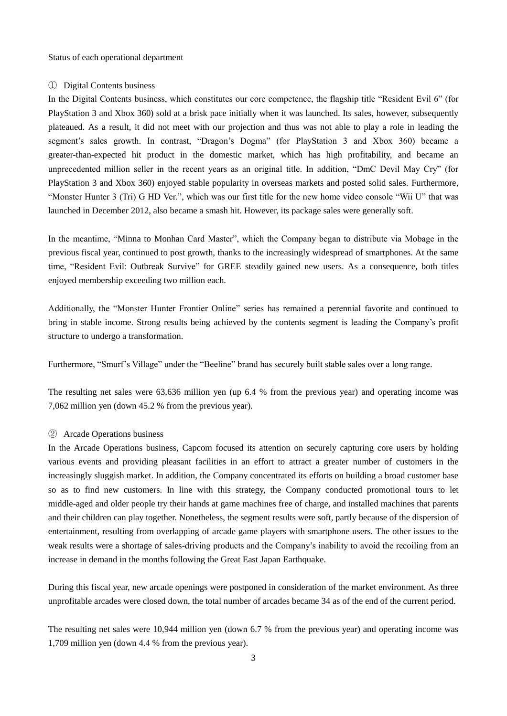Status of each operational department

#### ① Digital Contents business

In the Digital Contents business, which constitutes our core competence, the flagship title "Resident Evil 6" (for PlayStation 3 and Xbox 360) sold at a brisk pace initially when it was launched. Its sales, however, subsequently plateaued. As a result, it did not meet with our projection and thus was not able to play a role in leading the segment's sales growth. In contrast, "Dragon's Dogma" (for PlayStation 3 and Xbox 360) became a greater-than-expected hit product in the domestic market, which has high profitability, and became an unprecedented million seller in the recent years as an original title. In addition, "DmC Devil May Cry" (for PlayStation 3 and Xbox 360) enjoyed stable popularity in overseas markets and posted solid sales. Furthermore, "Monster Hunter 3 (Tri) G HD Ver.", which was our first title for the new home video console "Wii U" that was launched in December 2012, also became a smash hit. However, its package sales were generally soft.

In the meantime, "Minna to Monhan Card Master", which the Company began to distribute via Mobage in the previous fiscal year, continued to post growth, thanks to the increasingly widespread of smartphones. At the same time, "Resident Evil: Outbreak Survive" for GREE steadily gained new users. As a consequence, both titles enjoyed membership exceeding two million each.

Additionally, the "Monster Hunter Frontier Online" series has remained a perennial favorite and continued to bring in stable income. Strong results being achieved by the contents segment is leading the Company"s profit structure to undergo a transformation.

Furthermore, "Smurf"s Village" under the "Beeline" brand has securely built stable sales over a long range.

The resulting net sales were 63,636 million yen (up 6.4 % from the previous year) and operating income was 7,062 million yen (down 45.2 % from the previous year).

### ② Arcade Operations business

In the Arcade Operations business, Capcom focused its attention on securely capturing core users by holding various events and providing pleasant facilities in an effort to attract a greater number of customers in the increasingly sluggish market. In addition, the Company concentrated its efforts on building a broad customer base so as to find new customers. In line with this strategy, the Company conducted promotional tours to let middle-aged and older people try their hands at game machines free of charge, and installed machines that parents and their children can play together. Nonetheless, the segment results were soft, partly because of the dispersion of entertainment, resulting from overlapping of arcade game players with smartphone users. The other issues to the weak results were a shortage of sales-driving products and the Company"s inability to avoid the recoiling from an increase in demand in the months following the Great East Japan Earthquake.

During this fiscal year, new arcade openings were postponed in consideration of the market environment. As three unprofitable arcades were closed down, the total number of arcades became 34 as of the end of the current period.

The resulting net sales were 10,944 million yen (down 6.7 % from the previous year) and operating income was 1,709 million yen (down 4.4 % from the previous year).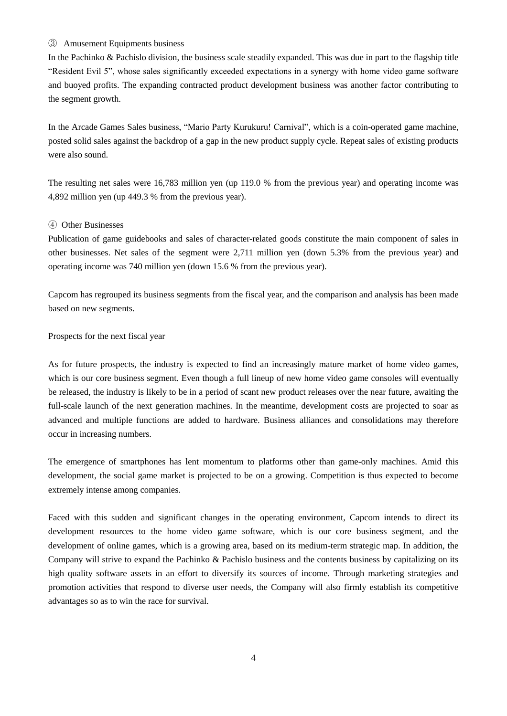#### ③ Amusement Equipments business

In the Pachinko & Pachislo division, the business scale steadily expanded. This was due in part to the flagship title "Resident Evil 5", whose sales significantly exceeded expectations in a synergy with home video game software and buoyed profits. The expanding contracted product development business was another factor contributing to the segment growth.

In the Arcade Games Sales business, "Mario Party Kurukuru! Carnival", which is a coin-operated game machine, posted solid sales against the backdrop of a gap in the new product supply cycle. Repeat sales of existing products were also sound.

The resulting net sales were 16,783 million yen (up 119.0 % from the previous year) and operating income was 4,892 million yen (up 449.3 % from the previous year).

#### ④ Other Businesses

Publication of game guidebooks and sales of character-related goods constitute the main component of sales in other businesses. Net sales of the segment were 2,711 million yen (down 5.3% from the previous year) and operating income was 740 million yen (down 15.6 % from the previous year).

Capcom has regrouped its business segments from the fiscal year, and the comparison and analysis has been made based on new segments.

#### Prospects for the next fiscal year

As for future prospects, the industry is expected to find an increasingly mature market of home video games, which is our core business segment. Even though a full lineup of new home video game consoles will eventually be released, the industry is likely to be in a period of scant new product releases over the near future, awaiting the full-scale launch of the next generation machines. In the meantime, development costs are projected to soar as advanced and multiple functions are added to hardware. Business alliances and consolidations may therefore occur in increasing numbers.

The emergence of smartphones has lent momentum to platforms other than game-only machines. Amid this development, the social game market is projected to be on a growing. Competition is thus expected to become extremely intense among companies.

Faced with this sudden and significant changes in the operating environment, Capcom intends to direct its development resources to the home video game software, which is our core business segment, and the development of online games, which is a growing area, based on its medium-term strategic map. In addition, the Company will strive to expand the Pachinko & Pachislo business and the contents business by capitalizing on its high quality software assets in an effort to diversify its sources of income. Through marketing strategies and promotion activities that respond to diverse user needs, the Company will also firmly establish its competitive advantages so as to win the race for survival.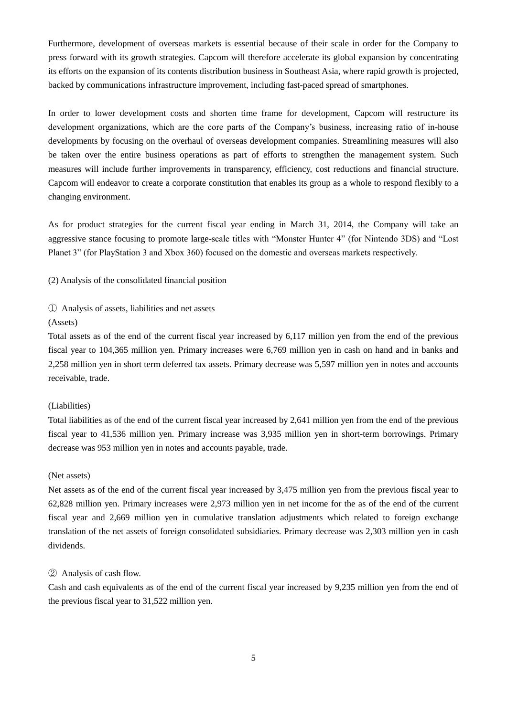Furthermore, development of overseas markets is essential because of their scale in order for the Company to press forward with its growth strategies. Capcom will therefore accelerate its global expansion by concentrating its efforts on the expansion of its contents distribution business in Southeast Asia, where rapid growth is projected, backed by communications infrastructure improvement, including fast-paced spread of smartphones.

In order to lower development costs and shorten time frame for development, Capcom will restructure its development organizations, which are the core parts of the Company"s business, increasing ratio of in-house developments by focusing on the overhaul of overseas development companies. Streamlining measures will also be taken over the entire business operations as part of efforts to strengthen the management system. Such measures will include further improvements in transparency, efficiency, cost reductions and financial structure. Capcom will endeavor to create a corporate constitution that enables its group as a whole to respond flexibly to a changing environment.

As for product strategies for the current fiscal year ending in March 31, 2014, the Company will take an aggressive stance focusing to promote large-scale titles with "Monster Hunter 4" (for Nintendo 3DS) and "Lost Planet 3" (for PlayStation 3 and Xbox 360) focused on the domestic and overseas markets respectively.

(2) Analysis of the consolidated financial position

① Analysis of assets, liabilities and net assets

#### (Assets)

Total assets as of the end of the current fiscal year increased by 6,117 million yen from the end of the previous fiscal year to 104,365 million yen. Primary increases were 6,769 million yen in cash on hand and in banks and 2,258 million yen in short term deferred tax assets. Primary decrease was 5,597 million yen in notes and accounts receivable, trade.

#### (Liabilities)

Total liabilities as of the end of the current fiscal year increased by 2,641 million yen from the end of the previous fiscal year to 41,536 million yen. Primary increase was 3,935 million yen in short-term borrowings. Primary decrease was 953 million yen in notes and accounts payable, trade.

#### (Net assets)

Net assets as of the end of the current fiscal year increased by 3,475 million yen from the previous fiscal year to 62,828 million yen. Primary increases were 2,973 million yen in net income for the as of the end of the current fiscal year and 2,669 million yen in cumulative translation adjustments which related to foreign exchange translation of the net assets of foreign consolidated subsidiaries. Primary decrease was 2,303 million yen in cash dividends.

#### ② Analysis of cash flow.

Cash and cash equivalents as of the end of the current fiscal year increased by 9,235 million yen from the end of the previous fiscal year to 31,522 million yen.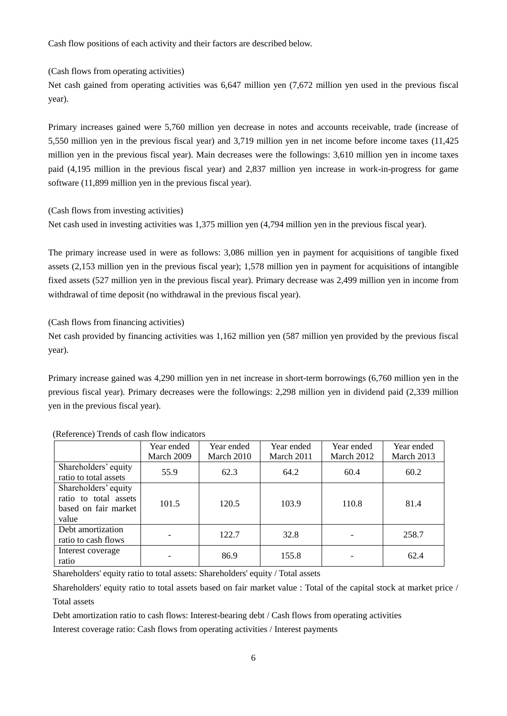Cash flow positions of each activity and their factors are described below.

(Cash flows from operating activities)

Net cash gained from operating activities was 6,647 million yen (7,672 million yen used in the previous fiscal year).

Primary increases gained were 5,760 million yen decrease in notes and accounts receivable, trade (increase of 5,550 million yen in the previous fiscal year) and 3,719 million yen in net income before income taxes (11,425 million yen in the previous fiscal year). Main decreases were the followings: 3,610 million yen in income taxes paid (4,195 million in the previous fiscal year) and 2,837 million yen increase in work-in-progress for game software (11,899 million yen in the previous fiscal year).

(Cash flows from investing activities)

Net cash used in investing activities was 1,375 million yen (4,794 million yen in the previous fiscal year).

The primary increase used in were as follows: 3,086 million yen in payment for acquisitions of tangible fixed assets (2,153 million yen in the previous fiscal year); 1,578 million yen in payment for acquisitions of intangible fixed assets (527 million yen in the previous fiscal year). Primary decrease was 2,499 million yen in income from withdrawal of time deposit (no withdrawal in the previous fiscal year).

(Cash flows from financing activities)

Net cash provided by financing activities was 1,162 million yen (587 million yen provided by the previous fiscal year).

Primary increase gained was 4,290 million yen in net increase in short-term borrowings (6,760 million yen in the previous fiscal year). Primary decreases were the followings: 2,298 million yen in dividend paid (2,339 million yen in the previous fiscal year).

|                                                                                | Year ended | Year ended | Year ended | Year ended | Year ended |
|--------------------------------------------------------------------------------|------------|------------|------------|------------|------------|
|                                                                                | March 2009 | March 2010 | March 2011 | March 2012 | March 2013 |
| Shareholders' equity<br>ratio to total assets                                  | 55.9       | 62.3       | 64.2       | 60.4       | 60.2       |
| Shareholders' equity<br>ratio to total assets<br>based on fair market<br>value | 101.5      | 120.5      | 103.9      | 110.8      | 81.4       |
| Debt amortization<br>ratio to cash flows                                       |            | 122.7      | 32.8       |            | 258.7      |
| Interest coverage<br>ratio                                                     |            | 86.9       | 155.8      |            | 62.4       |

(Reference) Trends of cash flow indicators

Shareholders' equity ratio to total assets: Shareholders' equity / Total assets

Shareholders' equity ratio to total assets based on fair market value : Total of the capital stock at market price / Total assets

Debt amortization ratio to cash flows: Interest-bearing debt / Cash flows from operating activities

Interest coverage ratio: Cash flows from operating activities / Interest payments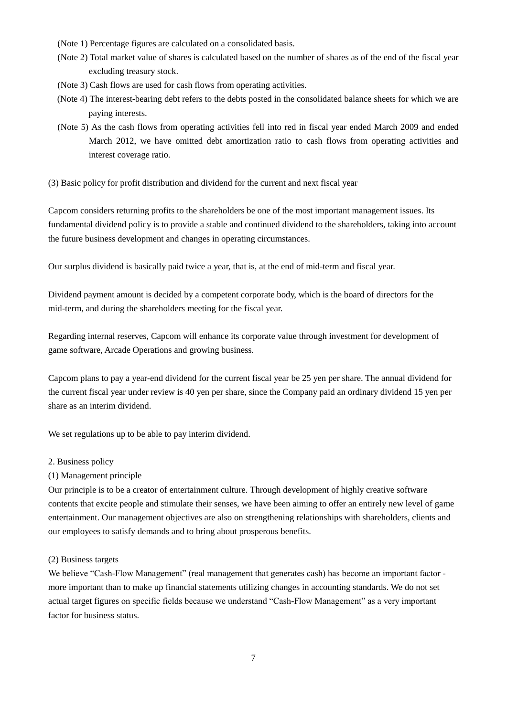- (Note 1) Percentage figures are calculated on a consolidated basis.
- (Note 2) Total market value of shares is calculated based on the number of shares as of the end of the fiscal year excluding treasury stock.
- (Note 3) Cash flows are used for cash flows from operating activities.
- (Note 4) The interest-bearing debt refers to the debts posted in the consolidated balance sheets for which we are paying interests.
- (Note 5) As the cash flows from operating activities fell into red in fiscal year ended March 2009 and ended March 2012, we have omitted debt amortization ratio to cash flows from operating activities and interest coverage ratio.
- (3) Basic policy for profit distribution and dividend for the current and next fiscal year

Capcom considers returning profits to the shareholders be one of the most important management issues. Its fundamental dividend policy is to provide a stable and continued dividend to the shareholders, taking into account the future business development and changes in operating circumstances.

Our surplus dividend is basically paid twice a year, that is, at the end of mid-term and fiscal year.

Dividend payment amount is decided by a competent corporate body, which is the board of directors for the mid-term, and during the shareholders meeting for the fiscal year.

Regarding internal reserves, Capcom will enhance its corporate value through investment for development of game software, Arcade Operations and growing business.

Capcom plans to pay a year-end dividend for the current fiscal year be 25 yen per share. The annual dividend for the current fiscal year under review is 40 yen per share, since the Company paid an ordinary dividend 15 yen per share as an interim dividend.

We set regulations up to be able to pay interim dividend.

#### 2. Business policy

#### (1) Management principle

Our principle is to be a creator of entertainment culture. Through development of highly creative software contents that excite people and stimulate their senses, we have been aiming to offer an entirely new level of game entertainment. Our management objectives are also on strengthening relationships with shareholders, clients and our employees to satisfy demands and to bring about prosperous benefits.

#### (2) Business targets

We believe "Cash-Flow Management" (real management that generates cash) has become an important factor more important than to make up financial statements utilizing changes in accounting standards. We do not set actual target figures on specific fields because we understand "Cash-Flow Management" as a very important factor for business status.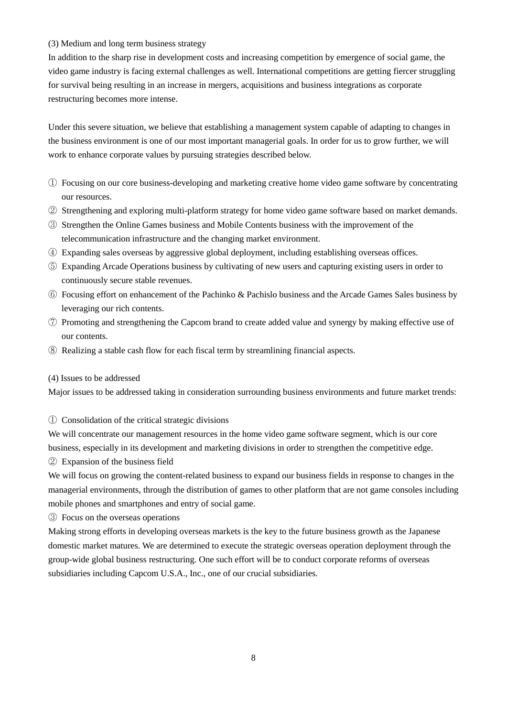#### (3) Medium and long term business strategy

In addition to the sharp rise in development costs and increasing competition by emergence of social game, the video game industry is facing external challenges as well. International competitions are getting fiercer struggling for survival being resulting in an increase in mergers, acquisitions and business integrations as corporate restructuring becomes more intense.

Under this severe situation, we believe that establishing a management system capable of adapting to changes in the business environment is one of our most important managerial goals. In order for us to grow further, we will work to enhance corporate values by pursuing strategies described below.

- ① Focusing on our core business-developing and marketing creative home video game software by concentrating our resources.
- ② Strengthening and exploring multi-platform strategy for home video game software based on market demands.
- ③ Strengthen the Online Games business and Mobile Contents business with the improvement of the telecommunication infrastructure and the changing market environment.
- ④ Expanding sales overseas by aggressive global deployment, including establishing overseas offices.
- ⑤ Expanding Arcade Operations business by cultivating of new users and capturing existing users in order to continuously secure stable revenues.
- ⑥ Focusing effort on enhancement of the Pachinko & Pachislo business and the Arcade Games Sales business by leveraging our rich contents.
- ⑦ Promoting and strengthening the Capcom brand to create added value and synergy by making effective use of our contents.
- ⑧ Realizing a stable cash flow for each fiscal term by streamlining financial aspects.

#### (4) Issues to be addressed

Major issues to be addressed taking in consideration surrounding business environments and future market trends:

#### ① Consolidation of the critical strategic divisions

We will concentrate our management resources in the home video game software segment, which is our core business, especially in its development and marketing divisions in order to strengthen the competitive edge.

② Expansion of the business field

We will focus on growing the content-related business to expand our business fields in response to changes in the managerial environments, through the distribution of games to other platform that are not game consoles including mobile phones and smartphones and entry of social game.

③ Focus on the overseas operations

Making strong efforts in developing overseas markets is the key to the future business growth as the Japanese domestic market matures. We are determined to execute the strategic overseas operation deployment through the group-wide global business restructuring. One such effort will be to conduct corporate reforms of overseas subsidiaries including Capcom U.S.A., Inc., one of our crucial subsidiaries.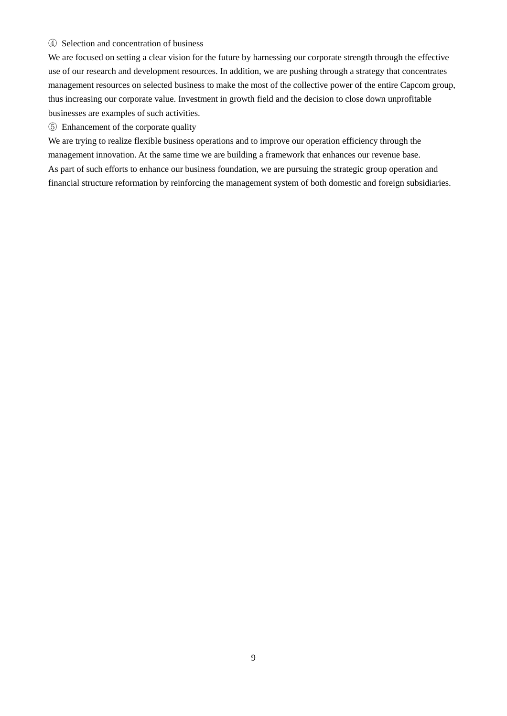### ④ Selection and concentration of business

We are focused on setting a clear vision for the future by harnessing our corporate strength through the effective use of our research and development resources. In addition, we are pushing through a strategy that concentrates management resources on selected business to make the most of the collective power of the entire Capcom group, thus increasing our corporate value. Investment in growth field and the decision to close down unprofitable businesses are examples of such activities.

⑤ Enhancement of the corporate quality

We are trying to realize flexible business operations and to improve our operation efficiency through the management innovation. At the same time we are building a framework that enhances our revenue base. As part of such efforts to enhance our business foundation, we are pursuing the strategic group operation and financial structure reformation by reinforcing the management system of both domestic and foreign subsidiaries.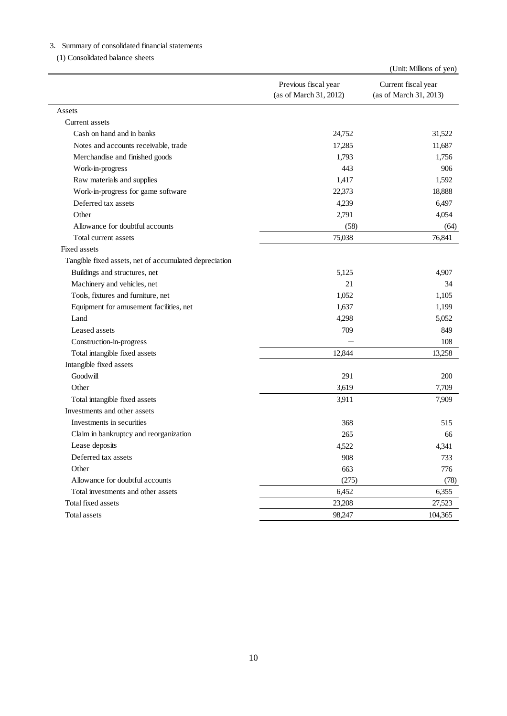|                                                        | Previous fiscal year<br>(as of March 31, 2012) | Current fiscal year<br>(as of March 31, 2013) |
|--------------------------------------------------------|------------------------------------------------|-----------------------------------------------|
| Assets                                                 |                                                |                                               |
| Current assets                                         |                                                |                                               |
| Cash on hand and in banks                              | 24,752                                         | 31,522                                        |
| Notes and accounts receivable, trade                   | 17,285                                         | 11,687                                        |
| Merchandise and finished goods                         | 1,793                                          | 1,756                                         |
| Work-in-progress                                       | 443                                            | 906                                           |
| Raw materials and supplies                             | 1,417                                          | 1,592                                         |
| Work-in-progress for game software                     | 22,373                                         | 18,888                                        |
| Deferred tax assets                                    | 4,239                                          | 6,497                                         |
| Other                                                  | 2,791                                          | 4,054                                         |
| Allowance for doubtful accounts                        | (58)                                           | (64)                                          |
| Total current assets                                   | 75,038                                         | 76,841                                        |
| Fixed assets                                           |                                                |                                               |
| Tangible fixed assets, net of accumulated depreciation |                                                |                                               |
| Buildings and structures, net                          | 5,125                                          | 4,907                                         |
| Machinery and vehicles, net                            | 21                                             | 34                                            |
| Tools, fixtures and furniture, net                     | 1,052                                          | 1,105                                         |
| Equipment for amusement facilities, net                | 1,637                                          | 1,199                                         |
| Land                                                   | 4,298                                          | 5,052                                         |
| Leased assets                                          | 709                                            | 849                                           |
| Construction-in-progress                               |                                                | 108                                           |
| Total intangible fixed assets                          | 12,844                                         | 13,258                                        |
| Intangible fixed assets                                |                                                |                                               |
| Goodwill                                               | 291                                            | 200                                           |
| Other                                                  | 3,619                                          | 7,709                                         |
| Total intangible fixed assets                          | 3,911                                          | 7,909                                         |
| Investments and other assets                           |                                                |                                               |
| Investments in securities                              | 368                                            | 515                                           |
| Claim in bankruptcy and reorganization                 | 265                                            | 66                                            |
| Lease deposits                                         | 4,522                                          | 4,341                                         |
| Deferred tax assets                                    | 908                                            | 733                                           |
| Other                                                  | 663                                            | 776                                           |
| Allowance for doubtful accounts                        | (275)                                          | (78)                                          |
| Total investments and other assets                     | 6,452                                          | 6,355                                         |
| Total fixed assets                                     | 23,208                                         | 27,523                                        |
| <b>Total assets</b>                                    | 98,247                                         | 104,365                                       |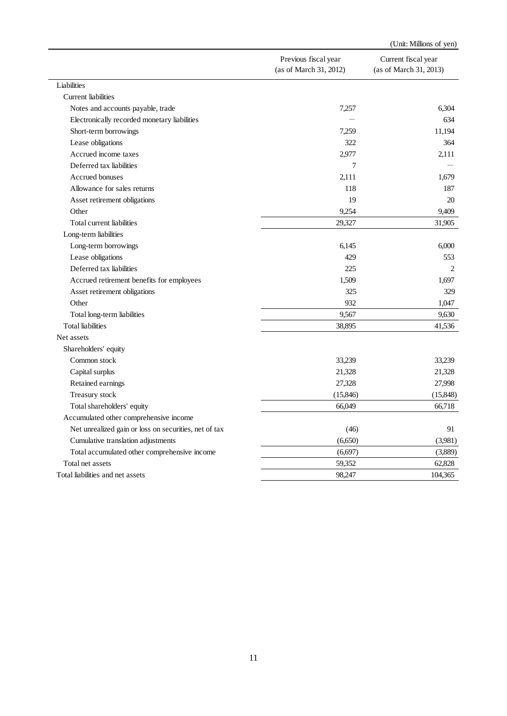|                                                       |                                                | (Unit: Millions of yen)                       |
|-------------------------------------------------------|------------------------------------------------|-----------------------------------------------|
|                                                       | Previous fiscal year<br>(as of March 31, 2012) | Current fiscal year<br>(as of March 31, 2013) |
| Liabilities                                           |                                                |                                               |
| Current liabilities                                   |                                                |                                               |
| Notes and accounts payable, trade                     | 7,257                                          | 6,304                                         |
| Electronically recorded monetary liabilities          |                                                | 634                                           |
| Short-term borrowings                                 | 7,259                                          | 11,194                                        |
| Lease obligations                                     | 322                                            | 364                                           |
| Accrued income taxes                                  | 2,977                                          | 2,111                                         |
| Deferred tax liabilities                              | 7                                              |                                               |
| Accrued bonuses                                       | 2,111                                          | 1,679                                         |
| Allowance for sales returns                           | 118                                            | 187                                           |
| Asset retirement obligations                          | 19                                             | 20                                            |
| Other                                                 | 9,254                                          | 9,409                                         |
| Total current liabilities                             | 29,327                                         | 31,905                                        |
| Long-term liabilities                                 |                                                |                                               |
| Long-term borrowings                                  | 6,145                                          | 6,000                                         |
| Lease obligations                                     | 429                                            | 553                                           |
| Deferred tax liabilities                              | 225                                            | 2                                             |
| Accrued retirement benefits for employees             | 1,509                                          | 1,697                                         |
| Asset retirement obligations                          | 325                                            | 329                                           |
| Other                                                 | 932                                            | 1,047                                         |
| Total long-term liabilities                           | 9,567                                          | 9,630                                         |
| <b>Total</b> liabilities                              | 38,895                                         | 41,536                                        |
| Net assets                                            |                                                |                                               |
| Shareholders' equity                                  |                                                |                                               |
| Common stock                                          | 33,239                                         | 33,239                                        |
| Capital surplus                                       | 21,328                                         | 21,328                                        |
| Retained earnings                                     | 27,328                                         | 27,998                                        |
| Treasury stock                                        | (15, 846)                                      | (15, 848)                                     |
| Total shareholders' equity                            | 66,049                                         | 66,718                                        |
| Accumulated other comprehensive income                |                                                |                                               |
| Net unrealized gain or loss on securities, net of tax | (46)                                           | 91                                            |
| Cumulative translation adjustments                    | (6,650)                                        | (3,981)                                       |
| Total accumulated other comprehensive income          | (6,697)                                        | (3,889)                                       |
| Total net assets                                      | 59,352                                         | 62,828                                        |
|                                                       | 98,247                                         | 104,365                                       |
| Total liabilities and net assets                      |                                                |                                               |
|                                                       |                                                |                                               |
|                                                       | 11                                             |                                               |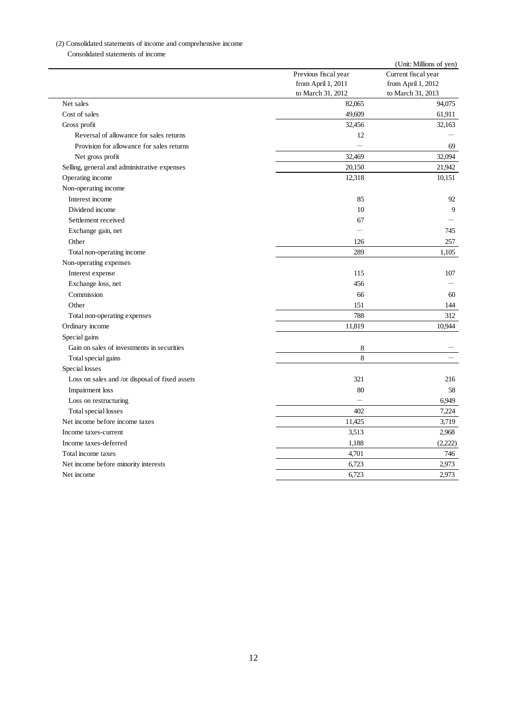| Net sales<br>Cost of sales<br>Gross profit<br>Reversal of allowance for sales returns<br>Provision for allowance for sales returns<br>Net gross profit<br>Selling, general and administrative expenses<br>Operating income<br>Non-operating income | Previous fiscal year<br>from April 1, 2011<br>to March 31, 2012<br>82,065<br>49,609<br>32,456<br>12<br>$\overline{\phantom{0}}$<br>32,469<br>20,150 | Current fiscal year<br>from April 1, 2012<br>to March 31, 2013<br>94,075<br>61,911<br>32,163<br>69<br>32,094 |
|----------------------------------------------------------------------------------------------------------------------------------------------------------------------------------------------------------------------------------------------------|-----------------------------------------------------------------------------------------------------------------------------------------------------|--------------------------------------------------------------------------------------------------------------|
|                                                                                                                                                                                                                                                    |                                                                                                                                                     |                                                                                                              |
|                                                                                                                                                                                                                                                    |                                                                                                                                                     |                                                                                                              |
|                                                                                                                                                                                                                                                    |                                                                                                                                                     |                                                                                                              |
|                                                                                                                                                                                                                                                    |                                                                                                                                                     |                                                                                                              |
|                                                                                                                                                                                                                                                    |                                                                                                                                                     |                                                                                                              |
|                                                                                                                                                                                                                                                    |                                                                                                                                                     |                                                                                                              |
|                                                                                                                                                                                                                                                    |                                                                                                                                                     |                                                                                                              |
|                                                                                                                                                                                                                                                    |                                                                                                                                                     |                                                                                                              |
|                                                                                                                                                                                                                                                    |                                                                                                                                                     | 21,942                                                                                                       |
|                                                                                                                                                                                                                                                    | 12,318                                                                                                                                              | 10,151                                                                                                       |
|                                                                                                                                                                                                                                                    |                                                                                                                                                     |                                                                                                              |
| Interest income                                                                                                                                                                                                                                    | 85                                                                                                                                                  | 92                                                                                                           |
| Dividend income                                                                                                                                                                                                                                    | 10                                                                                                                                                  |                                                                                                              |
| Settlement received                                                                                                                                                                                                                                | 67                                                                                                                                                  |                                                                                                              |
| Exchange gain, net                                                                                                                                                                                                                                 |                                                                                                                                                     | 745                                                                                                          |
| Other                                                                                                                                                                                                                                              | 126                                                                                                                                                 | 257                                                                                                          |
| Total non-operating income                                                                                                                                                                                                                         | 289                                                                                                                                                 | 1,105                                                                                                        |
| Non-operating expenses                                                                                                                                                                                                                             |                                                                                                                                                     |                                                                                                              |
| Interest expense                                                                                                                                                                                                                                   | 115                                                                                                                                                 | 107                                                                                                          |
| Exchange loss, net                                                                                                                                                                                                                                 | 456                                                                                                                                                 |                                                                                                              |
| Commission                                                                                                                                                                                                                                         | 66                                                                                                                                                  |                                                                                                              |
| Other                                                                                                                                                                                                                                              | 151                                                                                                                                                 | 144                                                                                                          |
| Total non-operating expenses                                                                                                                                                                                                                       | 788                                                                                                                                                 | 312                                                                                                          |
| Ordinary income                                                                                                                                                                                                                                    | 11,819                                                                                                                                              | 10,944                                                                                                       |
| Special gains                                                                                                                                                                                                                                      |                                                                                                                                                     |                                                                                                              |
| Gain on sales of investments in securities                                                                                                                                                                                                         | 8                                                                                                                                                   |                                                                                                              |
| Total special gains                                                                                                                                                                                                                                | 8                                                                                                                                                   |                                                                                                              |
| Special losses                                                                                                                                                                                                                                     |                                                                                                                                                     |                                                                                                              |
| Loss on sales and /or disposal of fixed assets                                                                                                                                                                                                     | 321                                                                                                                                                 | 216                                                                                                          |
| Impairment loss                                                                                                                                                                                                                                    | 80                                                                                                                                                  |                                                                                                              |
| Loss on restructuring                                                                                                                                                                                                                              | $\qquad \qquad -$                                                                                                                                   | 6,949                                                                                                        |
| Total special losses                                                                                                                                                                                                                               | 402                                                                                                                                                 | 7,224                                                                                                        |
| Net income before income taxes                                                                                                                                                                                                                     | 11,425                                                                                                                                              | 3,719                                                                                                        |
| Income taxes-current                                                                                                                                                                                                                               | 3,513                                                                                                                                               | 2,968                                                                                                        |
| Income taxes-deferred                                                                                                                                                                                                                              | 1,188                                                                                                                                               | (2,222)                                                                                                      |
| Total income taxes                                                                                                                                                                                                                                 | 4,701                                                                                                                                               | 746                                                                                                          |
| Net income before minority interests                                                                                                                                                                                                               | 6,723                                                                                                                                               | 2,973                                                                                                        |
| Net income                                                                                                                                                                                                                                         | 6,723                                                                                                                                               | 2,973                                                                                                        |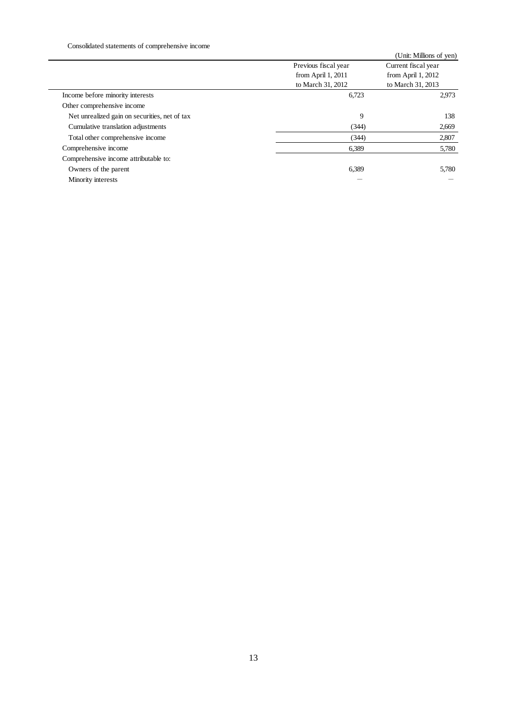|                                               |                            | (Unit: Millions of yen)    |
|-----------------------------------------------|----------------------------|----------------------------|
|                                               | Previous fiscal year       | Current fiscal year        |
|                                               | from April 1, 2011         | from April 1, 2012         |
| Income before minority interests              | to March 31, 2012<br>6,723 | to March 31, 2013<br>2,973 |
| Other comprehensive income                    |                            |                            |
| Net unrealized gain on securities, net of tax |                            | $\mathbf{9}$<br>138        |
| Cumulative translation adjustments            | (344)                      | 2,669                      |
| Total other comprehensive income              | (344)                      | 2,807                      |
| Comprehensive income                          | 6,389                      | 5,780                      |
| Comprehensive income attributable to:         |                            |                            |
| Owners of the parent                          | 6,389                      | 5,780                      |
| Minority interests                            |                            |                            |
|                                               |                            |                            |
|                                               |                            |                            |
|                                               |                            |                            |
|                                               |                            |                            |
|                                               |                            |                            |
|                                               |                            |                            |
|                                               |                            |                            |
|                                               |                            |                            |
|                                               |                            |                            |
|                                               |                            |                            |
|                                               |                            |                            |
|                                               |                            |                            |
|                                               |                            |                            |
|                                               |                            |                            |
|                                               |                            |                            |
|                                               |                            |                            |
|                                               |                            |                            |
|                                               |                            |                            |
|                                               |                            |                            |
|                                               |                            |                            |
|                                               |                            |                            |
|                                               | 13                         |                            |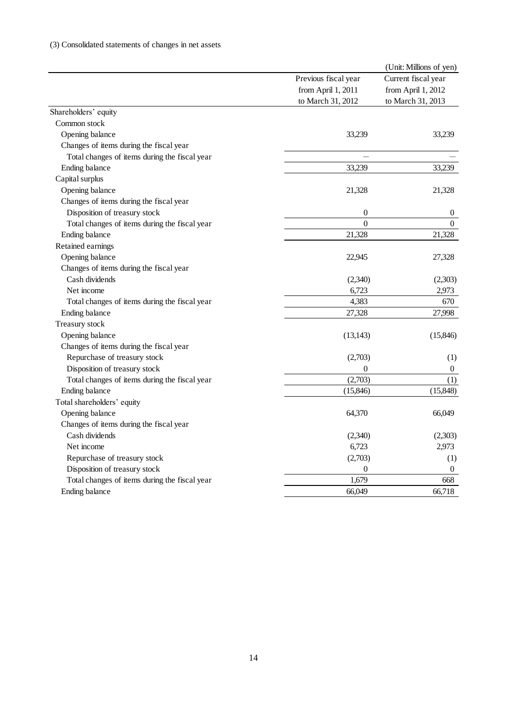| Previous fiscal year<br>from April 1, 2011<br>to March 31, 2012<br>33,239<br>33,239<br>21,328<br>0<br>$\Omega$<br>21,328<br>22,945<br>(2,340) | Current fiscal year<br>from April 1, 2012<br>to March 31, 2013<br>33,239<br>33,239<br>21,328<br>$\boldsymbol{0}$<br>$\mathbf{0}$<br>21,328<br>27,328 |
|-----------------------------------------------------------------------------------------------------------------------------------------------|------------------------------------------------------------------------------------------------------------------------------------------------------|
|                                                                                                                                               |                                                                                                                                                      |
|                                                                                                                                               |                                                                                                                                                      |
|                                                                                                                                               |                                                                                                                                                      |
|                                                                                                                                               |                                                                                                                                                      |
|                                                                                                                                               |                                                                                                                                                      |
|                                                                                                                                               |                                                                                                                                                      |
|                                                                                                                                               |                                                                                                                                                      |
|                                                                                                                                               |                                                                                                                                                      |
|                                                                                                                                               |                                                                                                                                                      |
|                                                                                                                                               |                                                                                                                                                      |
|                                                                                                                                               |                                                                                                                                                      |
|                                                                                                                                               |                                                                                                                                                      |
|                                                                                                                                               |                                                                                                                                                      |
|                                                                                                                                               |                                                                                                                                                      |
|                                                                                                                                               |                                                                                                                                                      |
|                                                                                                                                               |                                                                                                                                                      |
|                                                                                                                                               |                                                                                                                                                      |
|                                                                                                                                               | (2,303)                                                                                                                                              |
| 6,723                                                                                                                                         | 2,973                                                                                                                                                |
| 4,383                                                                                                                                         | 670                                                                                                                                                  |
| 27,328                                                                                                                                        | 27,998                                                                                                                                               |
|                                                                                                                                               |                                                                                                                                                      |
| (13, 143)                                                                                                                                     | (15, 846)                                                                                                                                            |
|                                                                                                                                               |                                                                                                                                                      |
| (2,703)                                                                                                                                       | (1)                                                                                                                                                  |
| 0                                                                                                                                             | $\boldsymbol{0}$                                                                                                                                     |
|                                                                                                                                               | (1)                                                                                                                                                  |
|                                                                                                                                               | (15, 848)                                                                                                                                            |
|                                                                                                                                               |                                                                                                                                                      |
|                                                                                                                                               | 66,049                                                                                                                                               |
|                                                                                                                                               |                                                                                                                                                      |
|                                                                                                                                               | (2,303)                                                                                                                                              |
|                                                                                                                                               | 2,973                                                                                                                                                |
|                                                                                                                                               | (1)                                                                                                                                                  |
|                                                                                                                                               | $\boldsymbol{0}$<br>668                                                                                                                              |
|                                                                                                                                               | 66,718                                                                                                                                               |
|                                                                                                                                               |                                                                                                                                                      |
|                                                                                                                                               |                                                                                                                                                      |
|                                                                                                                                               | (2,703)<br>(15, 846)<br>64,370<br>(2,340)<br>6,723<br>(2,703)<br>$\mathbf{0}$<br>1,679<br>66,049                                                     |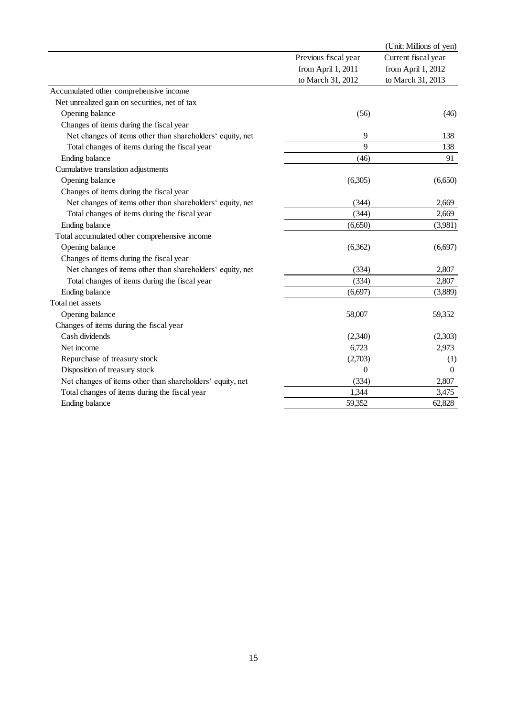|                                                           |                      | (Unit: Millions of yen) |
|-----------------------------------------------------------|----------------------|-------------------------|
|                                                           | Previous fiscal year | Current fiscal year     |
|                                                           | from April 1, 2011   | from April 1, 2012      |
|                                                           | to March 31, 2012    | to March 31, 2013       |
| Accumulated other comprehensive income                    |                      |                         |
| Net unrealized gain on securities, net of tax             |                      |                         |
| Opening balance                                           | (56)                 | (46)                    |
| Changes of items during the fiscal year                   |                      |                         |
| Net changes of items other than shareholders' equity, net | 9                    | 138                     |
| Total changes of items during the fiscal year             | 9                    | 138                     |
| Ending balance                                            | (46)                 | 91                      |
| Cumulative translation adjustments                        |                      |                         |
| Opening balance                                           | (6,305)              | (6,650)                 |
| Changes of items during the fiscal year                   |                      |                         |
| Net changes of items other than shareholders' equity, net | (344)                | 2,669                   |
| Total changes of items during the fiscal year             | (344)                | 2,669                   |
|                                                           |                      |                         |
| Ending balance                                            | (6,650)              | (3,981)                 |
| Total accumulated other comprehensive income              |                      |                         |
| Opening balance                                           | (6,362)              | (6,697)                 |
| Changes of items during the fiscal year                   |                      |                         |
| Net changes of items other than shareholders' equity, net | (334)                | 2,807                   |
| Total changes of items during the fiscal year             | (334)                | 2,807                   |
| Ending balance                                            | (6, 697)             | (3,889)                 |
| Total net assets                                          |                      |                         |
| Opening balance                                           | 58,007               | 59,352                  |
| Changes of items during the fiscal year                   |                      |                         |
| Cash dividends                                            | (2,340)              | (2,303)                 |
| Net income                                                | 6,723                | 2,973                   |
| Repurchase of treasury stock                              | (2,703)              | (1)                     |
| Disposition of treasury stock                             | $\boldsymbol{0}$     | $\mathbf{0}$            |
| Net changes of items other than shareholders' equity, net | (334)                | 2,807                   |
| Total changes of items during the fiscal year             | 1,344                | 3,475                   |
| Ending balance                                            | 59,352               | 62,828                  |
|                                                           |                      |                         |
| 15                                                        |                      |                         |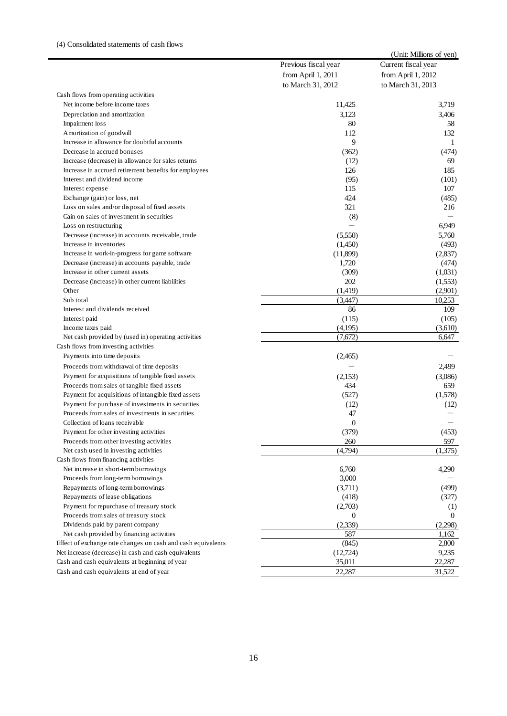|                      | (Unit: Millions of yen)                                                                                                                                                                                                                                                                                                                                          |
|----------------------|------------------------------------------------------------------------------------------------------------------------------------------------------------------------------------------------------------------------------------------------------------------------------------------------------------------------------------------------------------------|
| Previous fiscal year | Current fiscal year                                                                                                                                                                                                                                                                                                                                              |
|                      | from April 1, 2012                                                                                                                                                                                                                                                                                                                                               |
|                      | to March 31, 2013                                                                                                                                                                                                                                                                                                                                                |
|                      |                                                                                                                                                                                                                                                                                                                                                                  |
|                      | 3,719                                                                                                                                                                                                                                                                                                                                                            |
|                      | 3,406                                                                                                                                                                                                                                                                                                                                                            |
|                      | 58                                                                                                                                                                                                                                                                                                                                                               |
|                      | 132                                                                                                                                                                                                                                                                                                                                                              |
|                      | 1                                                                                                                                                                                                                                                                                                                                                                |
|                      | (474)                                                                                                                                                                                                                                                                                                                                                            |
|                      | 69<br>185                                                                                                                                                                                                                                                                                                                                                        |
|                      | (101)                                                                                                                                                                                                                                                                                                                                                            |
|                      | 107                                                                                                                                                                                                                                                                                                                                                              |
|                      | (485)                                                                                                                                                                                                                                                                                                                                                            |
|                      | 216                                                                                                                                                                                                                                                                                                                                                              |
|                      |                                                                                                                                                                                                                                                                                                                                                                  |
|                      | 6,949                                                                                                                                                                                                                                                                                                                                                            |
|                      | 5,760                                                                                                                                                                                                                                                                                                                                                            |
|                      | (493)                                                                                                                                                                                                                                                                                                                                                            |
|                      | (2,837)                                                                                                                                                                                                                                                                                                                                                          |
|                      | (474)                                                                                                                                                                                                                                                                                                                                                            |
|                      | (1,031)                                                                                                                                                                                                                                                                                                                                                          |
| 202                  | (1,553)                                                                                                                                                                                                                                                                                                                                                          |
| (1,419)              | (2,901)                                                                                                                                                                                                                                                                                                                                                          |
|                      | 10,253                                                                                                                                                                                                                                                                                                                                                           |
| 86                   | 109                                                                                                                                                                                                                                                                                                                                                              |
| (115)                | (105)                                                                                                                                                                                                                                                                                                                                                            |
| (4,195)              | (3,610)                                                                                                                                                                                                                                                                                                                                                          |
| (7,672)              | 6,647                                                                                                                                                                                                                                                                                                                                                            |
|                      |                                                                                                                                                                                                                                                                                                                                                                  |
| (2,465)              |                                                                                                                                                                                                                                                                                                                                                                  |
|                      | 2,499                                                                                                                                                                                                                                                                                                                                                            |
| (2,153)              | (3,086)                                                                                                                                                                                                                                                                                                                                                          |
| 434                  | 659                                                                                                                                                                                                                                                                                                                                                              |
| (527)                | (1,578)                                                                                                                                                                                                                                                                                                                                                          |
|                      | (12)                                                                                                                                                                                                                                                                                                                                                             |
|                      |                                                                                                                                                                                                                                                                                                                                                                  |
|                      |                                                                                                                                                                                                                                                                                                                                                                  |
|                      | (453)                                                                                                                                                                                                                                                                                                                                                            |
|                      | 597                                                                                                                                                                                                                                                                                                                                                              |
|                      | (1,375)                                                                                                                                                                                                                                                                                                                                                          |
|                      |                                                                                                                                                                                                                                                                                                                                                                  |
|                      | 4,290                                                                                                                                                                                                                                                                                                                                                            |
|                      | (499)                                                                                                                                                                                                                                                                                                                                                            |
|                      | (327)                                                                                                                                                                                                                                                                                                                                                            |
|                      | (1)                                                                                                                                                                                                                                                                                                                                                              |
|                      | $\theta$                                                                                                                                                                                                                                                                                                                                                         |
|                      | (2,298)                                                                                                                                                                                                                                                                                                                                                          |
|                      | 1,162                                                                                                                                                                                                                                                                                                                                                            |
|                      | 2,800                                                                                                                                                                                                                                                                                                                                                            |
| (12,724)             | 9,235                                                                                                                                                                                                                                                                                                                                                            |
| 35,011               | 22,287                                                                                                                                                                                                                                                                                                                                                           |
| 22,287               | 31,522                                                                                                                                                                                                                                                                                                                                                           |
|                      | from April 1, 2011<br>to March 31, 2012<br>11,425<br>3,123<br>80<br>112<br>9<br>(362)<br>(12)<br>126<br>(95)<br>115<br>424<br>321<br>(8)<br>(5,550)<br>(1,450)<br>(11,899)<br>1,720<br>(309)<br>(3,447)<br>(12)<br>47<br>$\boldsymbol{0}$<br>(379)<br>260<br>(4,794)<br>6,760<br>3,000<br>(3,711)<br>(418)<br>(2,703)<br>$\mathbf{0}$<br>(2,339)<br>587<br>(845) |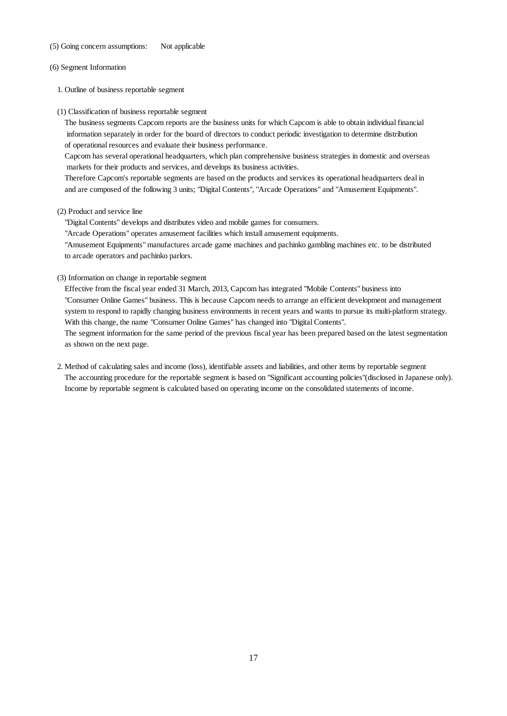- 
- (6) Segment Information
	- 1. Outline of business reportable segment
	- (1) Classification of business reportable segment

The business segments Capcom reports are the business units for which Capcom is able to obtain individual financial information separately in order for the board of directors to conduct periodic investigation to determine distribution of operational resources and evaluate their business performance.

Capcom has several operational headquarters, which plan comprehensive business strategies in domestic and overseas markets for their products and services, and develops its business activities.

Therefore Capcom's reportable segments are based on the products and services its operational headquarters deal in and are composed of the following 3 units; "Digital Contents", "Arcade Operations" and "Amusement Equipments".

#### (2) Product and service line

"Digital Contents" develops and distributes video and mobile games for consumers.

"Arcade Operations" operates amusement facilities which install amusement equipments.

"Amusement Equipments" manufactures arcade game machines and pachinko gambling machines etc. to be distributed to arcade operators and pachinko parlors.

(3) Information on change in reportable segment

(5) Going concern assumptions: Not applicable<br>
(6) Segment Information<br>
1. Outline of business reportable segment<br>
(1) Classification of business reportable segment<br>
(2) Classification of business reportable segment<br>
(2) C Effective from the fiscal year ended 31 March, 2013, Capcom has integrated "Mobile Contents" business into "Consumer Online Games" business. This is because Capcom needs to arrange an efficient development and management system to respond to rapidly changing business environments in recent years and wants to pursue its multi-platform strategy. With this change, the name "Consumer Online Games" has changed into "Digital Contents".

The segment information for the same period of the previous fiscal year has been prepared based on the latest segmentation as shown on the next page.

2. Method of calculating sales and income (loss), identifiable assets and liabilities, and other items by reportable segment The accounting procedure for the reportable segment is based on "Significant accounting policies"(disclosed in Japanese only). Income by reportable segment is calculated based on operating income on the consolidated statements of income.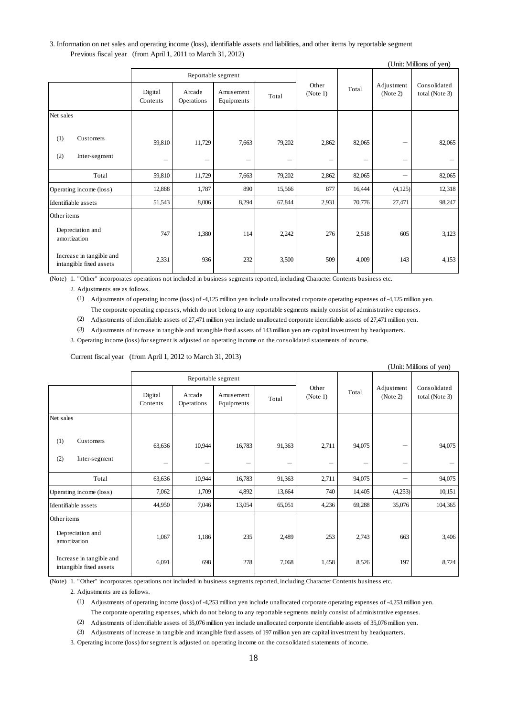## Previous fiscal year (from April 1, 2011 to March 31, 2012)

|             |                                                     |                          |                      |                         |        | (Unit: Millions of yen) |        |                        |                                |
|-------------|-----------------------------------------------------|--------------------------|----------------------|-------------------------|--------|-------------------------|--------|------------------------|--------------------------------|
|             |                                                     | Reportable segment       |                      |                         |        |                         |        |                        |                                |
|             |                                                     | Digital<br>Contents      | Arcade<br>Operations | Amusement<br>Equipments | Total  | Other<br>(Note 1)       | Total  | Adjustment<br>(Note 2) | Consolidated<br>total (Note 3) |
| Net sales   |                                                     |                          |                      |                         |        |                         |        |                        |                                |
| (1)         | Customers                                           | 59,810                   | 11,729               | 7,663                   | 79,202 | 2,862                   | 82,065 | -                      | 82,065                         |
| (2)         | Inter-segment                                       | $\overline{\phantom{m}}$ | -                    | -                       | -      | $\qquad \qquad$         |        | -                      |                                |
|             | Total                                               | 59,810                   | 11,729               | 7,663                   | 79,202 | 2,862                   | 82,065 | -                      | 82,065                         |
|             | Operating income (loss)                             | 12,888                   | 1,787                | 890                     | 15,566 | 877                     | 16,444 | (4,125)                | 12,318                         |
|             | Identifiable assets                                 | 51,543                   | 8,006                | 8,294                   | 67,844 | 2,931                   | 70,776 | 27,471                 | 98,247                         |
| Other items |                                                     |                          |                      |                         |        |                         |        |                        |                                |
|             | Depreciation and<br>amortization                    | 747                      | 1,380                | 114                     | 2,242  | 276                     | 2,518  | 605                    | 3,123                          |
|             | Increase in tangible and<br>intangible fixed assets | 2,331                    | 936                  | 232                     | 3,500  | 509                     | 4,009  | 143                    | 4,153                          |

| 3. Information on net sales and operating income (loss), identifiable assets and liabilities, and other items by reportable segment<br>Previous fiscal year (from April 1, 2011 to March 31, 2012) |                                                                                                                                                                                                                                                                  |                      |                         |        |                   |        |                          | (Unit: Millions of yen)        |
|----------------------------------------------------------------------------------------------------------------------------------------------------------------------------------------------------|------------------------------------------------------------------------------------------------------------------------------------------------------------------------------------------------------------------------------------------------------------------|----------------------|-------------------------|--------|-------------------|--------|--------------------------|--------------------------------|
|                                                                                                                                                                                                    |                                                                                                                                                                                                                                                                  |                      | Reportable segment      |        |                   |        |                          |                                |
|                                                                                                                                                                                                    | Digital<br>Contents                                                                                                                                                                                                                                              | Arcade<br>Operations | Amusement<br>Equipments | Total  | Other<br>(Note 1) | Total  | Adjustment<br>(Note 2)   | Consolidated<br>total (Note 3) |
| Net sales                                                                                                                                                                                          |                                                                                                                                                                                                                                                                  |                      |                         |        |                   |        |                          |                                |
| (1)<br>Customers                                                                                                                                                                                   | 59,810                                                                                                                                                                                                                                                           | 11,729               | 7,663                   | 79,202 | 2,862             | 82,065 |                          | 82,065                         |
| (2)<br>Inter-segment                                                                                                                                                                               | $\overline{\phantom{0}}$                                                                                                                                                                                                                                         |                      | -                       |        |                   |        | $\overline{\phantom{0}}$ |                                |
| Total                                                                                                                                                                                              | 59,810                                                                                                                                                                                                                                                           | 11,729               | 7,663                   | 79,202 | 2,862             | 82,065 |                          | 82,065                         |
| Operating income (loss)                                                                                                                                                                            | 12,888                                                                                                                                                                                                                                                           | 1,787                | 890                     | 15,566 | 877               | 16,444 | (4, 125)                 | 12,318                         |
| Identifiable assets                                                                                                                                                                                | 51,543                                                                                                                                                                                                                                                           | 8,006                | 8,294                   | 67,844 | 2,931             | 70,776 | 27,471                   | 98,247                         |
| Other items                                                                                                                                                                                        |                                                                                                                                                                                                                                                                  |                      |                         |        |                   |        |                          |                                |
| Depreciation and<br>amortization                                                                                                                                                                   | 747                                                                                                                                                                                                                                                              | 1,380                | 114                     | 2,242  | 276               | 2,518  | 605                      | 3,123                          |
| Increase in tangible and<br>intangible fixed assets                                                                                                                                                | 2,331                                                                                                                                                                                                                                                            | 936                  | 232                     | 3,500  | 509               | 4,009  | 143                      | 4,153                          |
| (3)<br>3. Operating income (loss) for segment is adjusted on operating income on the consolidated statements of income.<br>Current fiscal year (from April 1, 2012 to March 31, 2013)              | Adjustments of increase in tangible and intangible fixed assets of 143 million yen are capital investment by headquarters.                                                                                                                                       |                      | Reportable segment      |        |                   |        |                          | (Unit: Millions of yen)        |
|                                                                                                                                                                                                    | Digital<br>Contents                                                                                                                                                                                                                                              | Arcade<br>Operations | Amusement<br>Equipments | Total  | Other<br>(Note 1) | Total  | Adjustment<br>(Note 2)   | Consolidated<br>total (Note 3) |
| Net sales                                                                                                                                                                                          |                                                                                                                                                                                                                                                                  |                      |                         |        |                   |        |                          |                                |
|                                                                                                                                                                                                    |                                                                                                                                                                                                                                                                  |                      |                         |        |                   |        |                          |                                |
| Customers<br>(1)                                                                                                                                                                                   | 63,636                                                                                                                                                                                                                                                           | 10,944               | 16,783                  | 91,363 | 2,711             | 94,075 |                          | 94,075                         |
| (2)<br>Inter-segment                                                                                                                                                                               |                                                                                                                                                                                                                                                                  |                      | ÷                       |        |                   |        |                          |                                |
| Total                                                                                                                                                                                              | 63,636                                                                                                                                                                                                                                                           | 10,944               | 16,783                  | 91.363 | 2,711             | 94,075 |                          | 94,075                         |
| Operating income (loss)                                                                                                                                                                            | 7,062                                                                                                                                                                                                                                                            | 1,709                | 4,892                   | 13,664 | 740               | 14,405 | (4,253)                  | 10,151                         |
| Identifiable assets                                                                                                                                                                                | 44,950                                                                                                                                                                                                                                                           | 7,046                | 13,054                  | 65,051 | 4,236             | 69,288 | 35,076                   | 104,365                        |
| Other items                                                                                                                                                                                        |                                                                                                                                                                                                                                                                  |                      |                         |        |                   |        |                          |                                |
| Depreciation and<br>amortization                                                                                                                                                                   | 1,067                                                                                                                                                                                                                                                            | 1,186                | 235                     | 2,489  | 253               | 2,743  | 663                      | 3,406                          |
| Increase in tangible and<br>intangible fixed assets                                                                                                                                                | 6,091                                                                                                                                                                                                                                                            | 698                  | 278                     | 7,068  | 1,458             | 8,526  | 197                      | 8,724                          |
| (Note) 1. "Other" incorporates operations not included in business segments reported, including Character Contents business etc.<br>2. Adjustments are as follows.                                 |                                                                                                                                                                                                                                                                  |                      |                         |        |                   |        |                          |                                |
| (1) Adjustments of operating income (loss) of -4,253 million yen include unallocated corporate operating expenses of -4,253 million yen.<br>(2)                                                    | The corporate operating expenses, which do not belong to any reportable segments mainly consist of administrative expenses.<br>Adjustments of identifiable assets of 35,076 million yen include unallocated corporate identifiable assets of 35,076 million yen. |                      |                         |        |                   |        |                          |                                |
| (3)<br>3. Operating income (loss) for segment is adjusted on operating income on the consolidated statements of income.                                                                            | Adjustments of increase in tangible and intangible fixed assets of 197 million yen are capital investment by headquarters.                                                                                                                                       |                      |                         |        |                   |        |                          |                                |
|                                                                                                                                                                                                    |                                                                                                                                                                                                                                                                  |                      | 18                      |        |                   |        |                          |                                |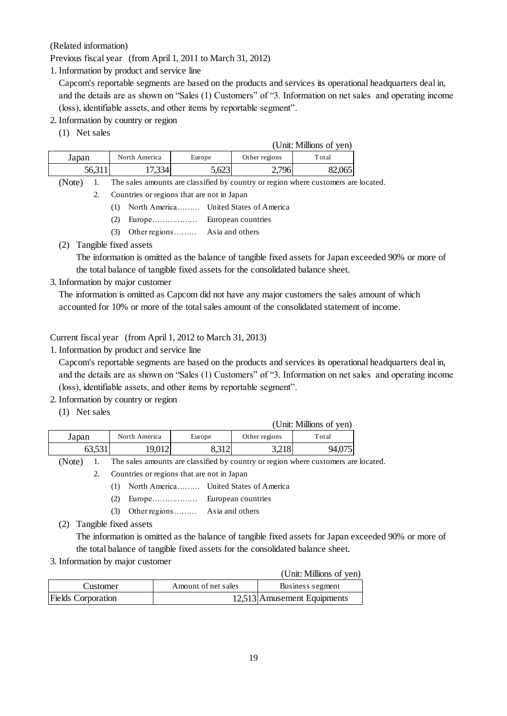Capcom's reportable segments are based on the products and services its operational headquarters deal in, and the details are as shown on "Sales (1) Customers" of "3. Information on net sales and operating income (loss), identifiable assets, and other items by reportable segment".

- 2. Information by country or region
	- (1) Net sales

| (Related information)                                                |                                            |                                        |                     |                    |                          |                                                                                   |
|----------------------------------------------------------------------|--------------------------------------------|----------------------------------------|---------------------|--------------------|--------------------------|-----------------------------------------------------------------------------------|
| Previous fiscal year (from April 1, 2011 to March 31, 2012)          |                                            |                                        |                     |                    |                          |                                                                                   |
| 1. Information by product and service line                           |                                            |                                        |                     |                    |                          |                                                                                   |
|                                                                      |                                            |                                        |                     |                    |                          | Capcom's reportable segments are based on the products and services its operation |
|                                                                      |                                            |                                        |                     |                    |                          | and the details are as shown on "Sales (1) Customers" of "3. Information on net s |
| (loss), identifiable assets, and other items by reportable segment". |                                            |                                        |                     |                    |                          |                                                                                   |
| 2. Information by country or region                                  |                                            |                                        |                     |                    |                          |                                                                                   |
| (1) Net sales                                                        |                                            |                                        |                     |                    |                          |                                                                                   |
|                                                                      |                                            |                                        |                     |                    |                          | (Unit: Millions of yen)                                                           |
| Japan                                                                | North America                              |                                        | Europe              |                    | Other regions            | Total                                                                             |
| 56,311                                                               |                                            | 17,334                                 | 5,623               |                    | 2,796                    | 82,065                                                                            |
| (Note)<br>1.                                                         |                                            |                                        |                     |                    |                          | The sales amounts are classified by country or region where customers are         |
| 2.                                                                   | Countries or regions that are not in Japan |                                        |                     |                    |                          |                                                                                   |
|                                                                      | (1)                                        | North America United States of America |                     |                    |                          |                                                                                   |
|                                                                      | (2)                                        | Europe European countries              |                     |                    |                          |                                                                                   |
|                                                                      | (3)                                        | Other regions  Asia and others         |                     |                    |                          |                                                                                   |
| (2) Tangible fixed assets                                            |                                            |                                        |                     |                    |                          |                                                                                   |
|                                                                      |                                            |                                        |                     |                    |                          | The information is omitted as the balance of tangible fixed assets for Japan ex   |
|                                                                      |                                            |                                        |                     |                    |                          | the total balance of tangible fixed assets for the consolidated balance sheet.    |
| 3. Information by major customer                                     |                                            |                                        |                     |                    |                          |                                                                                   |
|                                                                      |                                            |                                        |                     |                    |                          | The information is omitted as Capcom did not have any major customers the sales   |
|                                                                      |                                            |                                        |                     |                    |                          | accounted for 10% or more of the total sales amount of the consolidated statemen  |
|                                                                      |                                            |                                        |                     |                    |                          |                                                                                   |
|                                                                      |                                            |                                        |                     |                    |                          |                                                                                   |
| Current fiscal year (from April 1, 2012 to March 31, 2013)           |                                            |                                        |                     |                    |                          |                                                                                   |
| 1. Information by product and service line                           |                                            |                                        |                     |                    |                          |                                                                                   |
|                                                                      |                                            |                                        |                     |                    |                          | Capcom's reportable segments are based on the products and services its operatio  |
|                                                                      |                                            |                                        |                     |                    |                          | and the details are as shown on "Sales (1) Customers" of "3. Information on net s |
| (loss), identifiable assets, and other items by reportable segment". |                                            |                                        |                     |                    |                          |                                                                                   |
| 2. Information by country or region                                  |                                            |                                        |                     |                    |                          |                                                                                   |
| (1) Net sales                                                        |                                            |                                        |                     |                    |                          |                                                                                   |
|                                                                      |                                            |                                        |                     |                    |                          | (Unit: Millions of yen)                                                           |
| Japan                                                                | North America                              |                                        | Europe              |                    | Other regions            | Total                                                                             |
| 63,531                                                               |                                            | 19,012                                 | 8,312               |                    | 3,218                    | 94,075                                                                            |
| (Note)<br>1.                                                         |                                            |                                        |                     |                    |                          | The sales amounts are classified by country or region where customers are         |
| 2.                                                                   | Countries or regions that are not in Japan |                                        |                     |                    |                          |                                                                                   |
|                                                                      | (1)                                        | North America                          |                     |                    | United States of America |                                                                                   |
|                                                                      | (2)                                        | Europe                                 |                     | European countries |                          |                                                                                   |
|                                                                      | (3)                                        | Other regions                          |                     | Asia and others    |                          |                                                                                   |
| (2)                                                                  | Tangible fixed assets                      |                                        |                     |                    |                          |                                                                                   |
|                                                                      |                                            |                                        |                     |                    |                          | The information is omitted as the balance of tangible fixed assets for Japan ex   |
|                                                                      |                                            |                                        |                     |                    |                          | the total balance of tangible fixed assets for the consolidated balance sheet.    |
| 3. Information by major customer                                     |                                            |                                        |                     |                    |                          |                                                                                   |
|                                                                      |                                            |                                        |                     |                    |                          | (Unit: Millions of yen                                                            |
| Customer                                                             |                                            |                                        | Amount of net sales |                    |                          | Business segment                                                                  |
| <b>Fields Corporation</b>                                            |                                            |                                        |                     |                    |                          | 12,513 Amusement Equipments                                                       |
|                                                                      |                                            |                                        |                     |                    |                          |                                                                                   |
|                                                                      |                                            |                                        |                     |                    |                          |                                                                                   |
|                                                                      |                                            |                                        |                     |                    |                          |                                                                                   |
|                                                                      |                                            |                                        |                     |                    |                          |                                                                                   |
|                                                                      |                                            |                                        |                     | 19                 |                          |                                                                                   |

(Note) 1. The sales amounts are classified by country or region where customers are located.

- (1) North America……… United States of America
- (2) Europe……………… European countries
- (3) Other regions……… Asia and others
- (2) Tangible fixed assets

The information is omitted as the balance of tangible fixed assets for Japan exceeded 90% or more of the total balance of tangible fixed assets for the consolidated balance sheet.

The information is omitted as Capcom did not have any major customers the sales amount of which accounted for 10% or more of the total sales amount of the consolidated statement of income.

Capcom's reportable segments are based on the products and services its operational headquarters deal in, and the details are as shown on "Sales (1) Customers" of "3. Information on net sales and operating income (loss), identifiable assets, and other items by reportable segment".

- 2. Information by country or region
	- (1) Net sales

| (Unit: Millions of yen) |               |        |               |        |  |  |
|-------------------------|---------------|--------|---------------|--------|--|--|
| Japan                   | North America | Europe | Other regions | Total  |  |  |
| 63,531                  | 19,012        | 0.JIZ  | 3,218         | 94,075 |  |  |

(Note) 1. The sales amounts are classified by country or region where customers are located.

- (1) North America……… United States of America
- (2) Europe……………… European countries
- (3) Other regions……… Asia and others

The information is omitted as the balance of tangible fixed assets for Japan exceeded 90% or more of the total balance of tangible fixed assets for the consolidated balance sheet.

|                    |                     | (Unit: Millions of yen)     |
|--------------------|---------------------|-----------------------------|
| Customer           | Amount of net sales | Business segment            |
| Fields Corporation |                     | 12,513 Amusement Equipments |